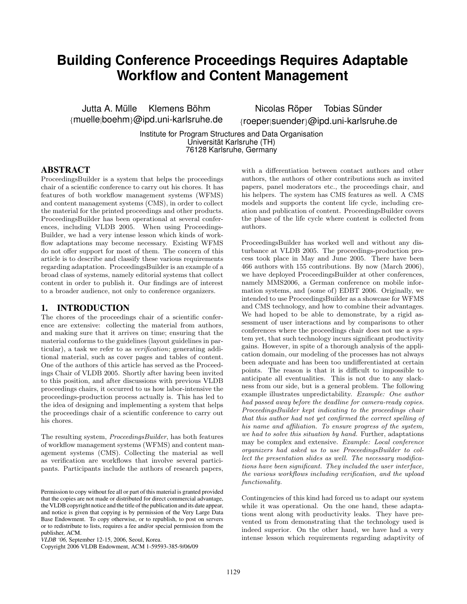# **Building Conference Proceedings Requires Adaptable Workflow and Content Management**

Jutta A. Mülle Klemens Böhm {muelle|boehm}@ipd.uni-karlsruhe.de

Nicolas Röper Tobias Sünder {roeper|suender}@ipd.uni-karlsruhe.de

Institute for Program Structures and Data Organisation Universitat Karlsruhe (TH) ¨ 76128 Karlsruhe, Germany

#### ABSTRACT

ProceedingsBuilder is a system that helps the proceedings chair of a scientific conference to carry out his chores. It has features of both workflow management systems (WFMS) and content management systems (CMS), in order to collect the material for the printed proceedings and other products. ProceedingsBuilder has been operational at several conferences, including VLDB 2005. When using Proceedings-Builder, we had a very intense lesson which kinds of workflow adaptations may become necessary. Existing WFMS do not offer support for most of them. The concern of this article is to describe and classify these various requirements regarding adaptation. ProceedingsBuilder is an example of a broad class of systems, namely editorial systems that collect content in order to publish it. Our findings are of interest to a broader audience, not only to conference organizers.

#### 1. INTRODUCTION

The chores of the proceedings chair of a scientific conference are extensive: collecting the material from authors, and making sure that it arrives on time; ensuring that the material conforms to the guidelines (layout guidelines in particular), a task we refer to as *verification*; generating additional material, such as cover pages and tables of content. One of the authors of this article has served as the Proceedings Chair of VLDB 2005. Shortly after having been invited to this position, and after discussions with previous VLDB proceedings chairs, it occurred to us how labor-intensive the proceedings-production process actually is. This has led to the idea of designing and implementing a system that helps the proceedings chair of a scientific conference to carry out his chores.

The resulting system, ProceedingsBuilder, has both features of workflow management systems (WFMS) and content management systems (CMS). Collecting the material as well as verification are workflows that involve several participants. Participants include the authors of research papers,

with a differentiation between contact authors and other authors, the authors of other contributions such as invited papers, panel moderators etc., the proceedings chair, and his helpers. The system has CMS features as well. A CMS models and supports the content life cycle, including creation and publication of content. ProceedingsBuilder covers the phase of the life cycle where content is collected from authors.

ProceedingsBuilder has worked well and without any disturbance at VLDB 2005. The proceedings-production process took place in May and June 2005. There have been 466 authors with 155 contributions. By now (March 2006), we have deployed ProceedingsBuilder at other conferences, namely MMS2006, a German conference on mobile information systems, and (some of) EDBT 2006. Originally, we intended to use ProceedingsBuilder as a showcase for WFMS and CMS technology, and how to combine their advantages. We had hoped to be able to demonstrate, by a rigid assessment of user interactions and by comparisons to other conferences where the proceedings chair does not use a system yet, that such technology incurs significant productivity gains. However, in spite of a thorough analysis of the application domain, our modeling of the processes has not always been adequate and has been too undifferentiated at certain points. The reason is that it is difficult to impossible to anticipate all eventualities. This is not due to any slackness from our side, but is a general problem. The following example illustrates unpredictability. Example: One author had passed away before the deadline for camera-ready copies. ProceedingsBuilder kept indicating to the proceedings chair that this author had not yet confirmed the correct spelling of his name and affiliation. To ensure progress of the system, we had to solve this situation by hand. Further, adaptations may be complex and extensive. Example: Local conference organizers had asked us to use ProceedingsBuilder to collect the presentation slides as well. The necessary modifications have been significant. They included the user interface, the various workflows including verification, and the upload functionality.

Contingencies of this kind had forced us to adapt our system while it was operational. On the one hand, these adaptations went along with productivity leaks. They have prevented us from demonstrating that the technology used is indeed superior. On the other hand, we have had a very intense lesson which requirements regarding adaptivity of

Permission to copy without fee all or part of this material is granted provided that the copies are not made or distributed for direct commercial advantage, the VLDB copyright notice and the title of the publication and its date appear, and notice is given that copying is by permission of the Very Large Data Base Endowment. To copy otherwise, or to republish, to post on servers or to redistribute to lists, requires a fee and/or special permission from the publisher, ACM.

*VLDB '06,* September 12-15, 2006, Seoul, Korea.

Copyright 2006 VLDB Endowment, ACM 1-59593-385-9/06/09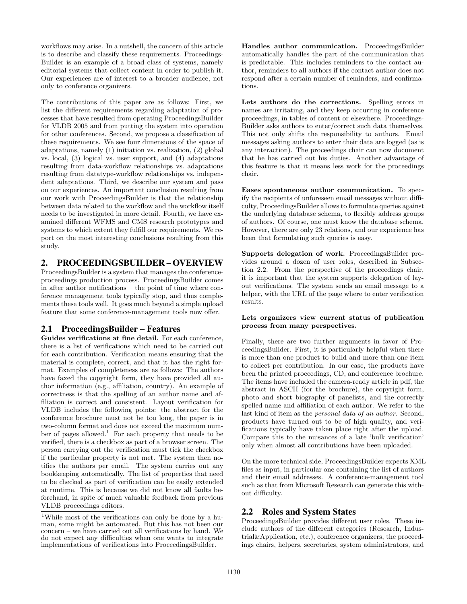workflows may arise. In a nutshell, the concern of this article is to describe and classify these requirements. Proceedings-Builder is an example of a broad class of systems, namely editorial systems that collect content in order to publish it. Our experiences are of interest to a broader audience, not only to conference organizers.

The contributions of this paper are as follows: First, we list the different requirements regarding adaptation of processes that have resulted from operating ProceedingsBuilder for VLDB 2005 and from putting the system into operation for other conferences. Second, we propose a classification of these requirements. We see four dimensions of the space of adaptations, namely (1) initiation vs. realization, (2) global vs. local, (3) logical vs. user support, and (4) adaptations resulting from data-workflow relationships vs. adaptations resulting from datatype-workflow relationships vs. independent adaptations. Third, we describe our system and pass on our experiences. An important conclusion resulting from our work with ProceedingsBuilder is that the relationship between data related to the workflow and the workflow itself needs to be investigated in more detail. Fourth, we have examined different WFMS and CMS research prototypes and systems to which extent they fulfill our requirements. We report on the most interesting conclusions resulting from this study.

### 2. PROCEEDINGSBUILDER – OVERVIEW

ProceedingsBuilder is a system that manages the conferenceproceedings production process. ProceedingsBuilder comes in after author notifications – the point of time where conference management tools typically stop, and thus complements these tools well. It goes much beyond a simple upload feature that some conference-management tools now offer.

# 2.1 ProceedingsBuilder – Features

**Guides verifications at fine detail.** For each conference, there is a list of verifications which need to be carried out for each contribution. Verification means ensuring that the material is complete, correct, and that it has the right format. Examples of completeness are as follows: The authors have faxed the copyright form, they have provided all author information (e.g., affiliation, country). An example of correctness is that the spelling of an author name and affiliation is correct and consistent. Layout verification for VLDB includes the following points: the abstract for the conference brochure must not be too long, the paper is in two-column format and does not exceed the maximum number of pages allowed.<sup>1</sup> For each property that needs to be verified, there is a checkbox as part of a browser screen. The person carrying out the verification must tick the checkbox if the particular property is not met. The system then notifies the authors per email. The system carries out any bookkeeping automatically. The list of properties that need to be checked as part of verification can be easily extended at runtime. This is because we did not know all faults beforehand, in spite of much valuable feedback from previous VLDB proceedings editors.

**Handles author communication.** ProceedingsBuilder automatically handles the part of the communication that is predictable. This includes reminders to the contact author, reminders to all authors if the contact author does not respond after a certain number of reminders, and confirmations.

**Lets authors do the corrections.** Spelling errors in names are irritating, and they keep occurring in conference proceedings, in tables of content or elsewhere. Proceedings-Builder asks authors to enter/correct such data themselves. This not only shifts the responsibility to authors. Email messages asking authors to enter their data are logged (as is any interaction). The proceedings chair can now document that he has carried out his duties. Another advantage of this feature is that it means less work for the proceedings chair.

**Eases spontaneous author communication.** To specify the recipients of unforeseen email messages without difficulty, ProceedingsBuilder allows to formulate queries against the underlying database schema, to flexibly address groups of authors. Of course, one must know the database schema. However, there are only 23 relations, and our experience has been that formulating such queries is easy.

**Supports delegation of work.** ProceedingsBuilder provides around a dozen of user roles, described in Subsection 2.2. From the perspective of the proceedings chair, it is important that the system supports delegation of layout verifications. The system sends an email message to a helper, with the URL of the page where to enter verification results.

#### **Lets organizers view current status of publication process from many perspectives.**

Finally, there are two further arguments in favor of ProceedingsBuilder. First, it is particularly helpful when there is more than one product to build and more than one item to collect per contribution. In our case, the products have been the printed proceedings, CD, and conference brochure. The items have included the camera-ready article in pdf, the abstract in ASCII (for the brochure), the copyright form, photo and short biography of panelists, and the correctly spelled name and affiliation of each author. We refer to the last kind of item as the personal data of an author. Second, products have turned out to be of high quality, and verifications typically have taken place right after the upload. Compare this to the nuisances of a late 'bulk verification' only when almost all contributions have been uploaded.

On the more technical side, ProceedingsBuilder expects XML files as input, in particular one containing the list of authors and their email addresses. A conference-management tool such as that from Microsoft Research can generate this without difficulty.

# 2.2 Roles and System States

ProceedingsBuilder provides different user roles. These include authors of the different categories (Research, Industrial&Application, etc.), conference organizers, the proceedings chairs, helpers, secretaries, system administrators, and

<sup>&</sup>lt;sup>1</sup>While most of the verifications can only be done by a human, some might be automated. But this has not been our concern – we have carried out all verifications by hand. We do not expect any difficulties when one wants to integrate implementations of verifications into ProceedingsBuilder.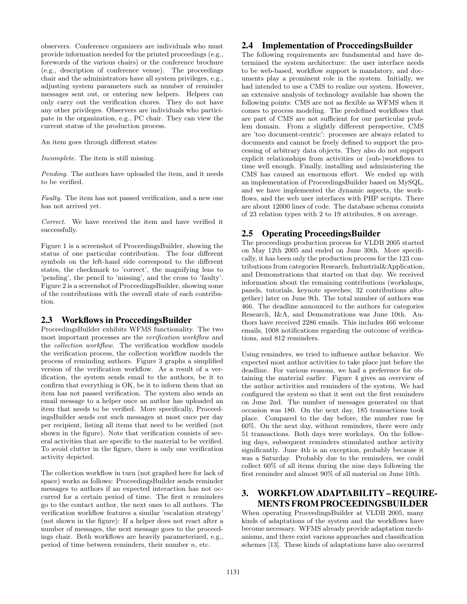observers. Conference organizers are individuals who must provide information needed for the printed proceedings (e.g., forewords of the various chairs) or the conference brochure (e.g., description of conference venue). The proceedings chair and the administrators have all system privileges, e.g., adjusting system parameters such as number of reminder messages sent out, or entering new helpers. Helpers can only carry out the verification chores. They do not have any other privileges. Observers are individuals who participate in the organization, e.g., PC chair. They can view the current status of the production process.

An item goes through different states:

Incomplete. The item is still missing.

Pending. The authors have uploaded the item, and it needs to be verified.

Faulty. The item has not passed verification, and a new one has not arrived yet.

Correct. We have received the item and have verified it successfully.

Figure 1 is a screenshot of ProceedingsBuilder, showing the status of one particular contribution. The four different symbols on the left-hand side correspond to the different states, the checkmark to 'correct', the magnifying lens to 'pending', the pencil to 'missing', and the cross to 'faulty'. Figure 2 is a screenshot of ProceedingsBuilder, showing some of the contributions with the overall state of each contribution.

# 2.3 Workflows in ProccedingsBuilder

ProceedingsBuilder exhibits WFMS functionality. The two most important processes are the verification workflow and the collection workflow. The verification workflow models the verification process, the collection workflow models the process of reminding authors. Figure 3 graphs a simplified version of the verification workflow. As a result of a verification, the system sends email to the authors, be it to confirm that everything is OK, be it to inform them that an item has not passed verification. The system also sends an email message to a helper once an author has uploaded an item that needs to be verified. More specifically, ProceedingsBuilder sends out such messages at most once per day per recipient, listing all items that need to be verified (not shown in the figure). Note that verification consists of several activities that are specific to the material to be verified. To avoid clutter in the figure, there is only one verification activity depicted.

The collection workflow in turn (not graphed here for lack of space) works as follows: ProceedingsBuilder sends reminder messages to authors if an expected interaction has not occurred for a certain period of time. The first  $n$  reminders go to the contact author, the next ones to all authors. The verification workflow features a similar 'escalation strategy' (not shown in the figure): If a helper does not react after a number of messages, the next message goes to the proceedings chair. Both workflows are heavily parameterized, e.g., period of time between reminders, their number  $n$ , etc.

### 2.4 Implementation of ProccedingsBuilder

The following requirements are fundamental and have determined the system architecture: the user interface needs to be web-based, workflow support is mandatory, and documents play a prominent role in the system. Initially, we had intended to use a CMS to realize our system. However, an extensive analysis of technology available has shown the following points: CMS are not as flexible as WFMS when it comes to process modeling. The predefined workflows that are part of CMS are not sufficient for our particular problem domain. From a slightly different perspective, CMS are 'too document-centric': processes are always related to documents and cannot be freely defined to support the processing of arbitrary data objects. They also do not support explicit relationships from activities or (sub-)workflows to time well enough. Finally, installing and administering the CMS has caused an enormous effort. We ended up with an implementation of ProceedingsBuilder based on MySQL, and we have implemented the dynamic aspects, the workflows, and the web user interfaces with PHP scripts. There are about 12000 lines of code. The database schema consists of 23 relation types with 2 to 19 attributes, 8 on average.

# 2.5 Operating ProceedingsBuilder

The proceedings production process for VLDB 2005 started on May 12th 2005 and ended on June 30th. More specifically, it has been only the production process for the 123 contributions from categories Research, Industrial&Application, and Demonstrations that started on that day. We received information about the remaining contributions (workshops, panels, tutorials, keynote speeches; 32 contributions altogether) later on June 9th. The total number of authors was 466. The deadline announced to the authors for categories Research, I&A, and Demonstrations was June 10th. Authors have received 2286 emails. This includes 466 welcome emails, 1008 notifications regarding the outcome of verifications, and 812 reminders.

Using reminders, we tried to influence author behavior. We expected most author activities to take place just before the deadline. For various reasons, we had a preference for obtaining the material earlier. Figure 4 gives an overview of the author activities and reminders of the system. We had configured the system so that it sent out the first reminders on June 2nd. The number of messages generated on that occasion was 180. On the next day, 185 transactions took place. Compared to the day before, the number rose by 60%. On the next day, without reminders, there were only 51 transactions. Both days were workdays. On the following days, subsequent reminders stimulated author activity significantly. June 4th is an exception, probably because it was a Saturday. Probably due to the reminders, we could collect 60% of all items during the nine days following the first reminder and almost 90% of all material on June 10th.

# 3. WORKFLOW ADAPTABILITY – REQUIRE-MENTS FROM PROCEEDINGSBUILDER

When operating ProceedingsBuilder at VLDB 2005, many kinds of adaptations of the system and the workflows have become necessary. WFMS already provide adaptation mechanisms, and there exist various approaches and classification schemes [13]. These kinds of adaptations have also occurred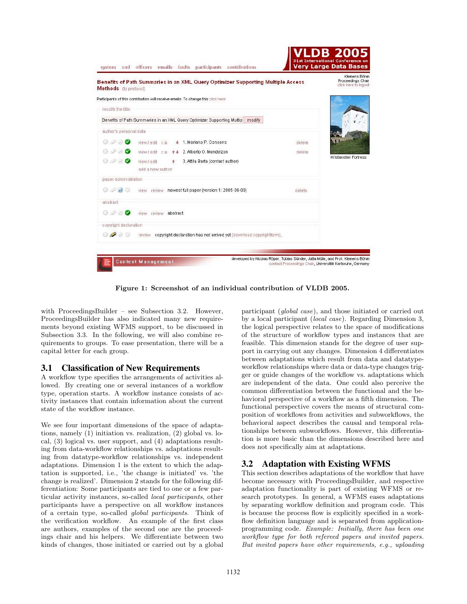

**Figure 1: Screenshot of an individual contribution of VLDB 2005.**

with ProceedingsBuilder – see Subsection 3.2. However, ProceedingsBuilder has also indicated many new requirements beyond existing WFMS support, to be discussed in Subsection 3.3. In the following, we will also combine requirements to groups. To ease presentation, there will be a capital letter for each group.

#### 3.1 Classification of New Requirements

A workflow type specifies the arrangements of activities allowed. By creating one or several instances of a workflow type, operation starts. A workflow instance consists of activity instances that contain information about the current state of the workflow instance.

We see four important dimensions of the space of adaptations, namely (1) initiation vs. realization, (2) global vs. local, (3) logical vs. user support, and (4) adaptations resulting from data-workflow relationships vs. adaptations resulting from datatype-workflow relationships vs. independent adaptations. Dimension 1 is the extent to which the adaptation is supported, i.e., 'the change is initiated' vs. 'the change is realized'. Dimension 2 stands for the following differentiation: Some participants are tied to one or a few particular activity instances, so-called local participants, other participants have a perspective on all workflow instances of a certain type, so-called global participants. Think of the verification workflow. An example of the first class are authors, examples of the second one are the proceedings chair and his helpers. We differentiate between two kinds of changes, those initiated or carried out by a global

participant (global case), and those initiated or carried out by a local participant (local case). Regarding Dimension 3, the logical perspective relates to the space of modifications of the structure of workflow types and instances that are feasible. This dimension stands for the degree of user support in carrying out any changes. Dimension 4 differentiates between adaptations which result from data and datatypeworkflow relationships where data or data-type changes trigger or guide changes of the workflow vs. adaptations which are independent of the data. One could also perceive the common differentiation between the functional and the behavioral perspective of a workflow as a fifth dimension. The functional perspective covers the means of structural composition of workflows from activities and subworkflows, the behavioral aspect describes the causal and temporal relationships between subworkflows. However, this differentiation is more basic than the dimensions described here and does not specifically aim at adaptations.

# 3.2 Adaptation with Existing WFMS

This section describes adaptations of the workflow that have become necessary with ProceedingsBuilder, and respective adaptation functionality is part of existing WFMS or research prototypes. In general, a WFMS eases adaptations by separating workflow definition and program code. This is because the process flow is explicitly specified in a workflow definition language and is separated from applicationprogramming code. Example: Initially, there has been one workflow type for both refereed papers and invited papers. But invited papers have other requirements, e.g., uploading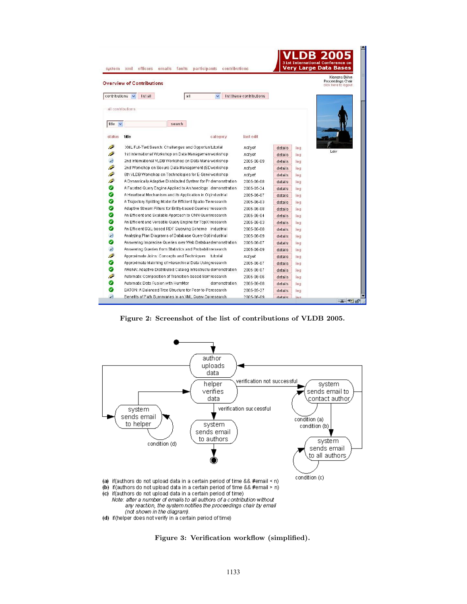| system            | contributions<br>officers<br>emails faults<br>participants<br>xml |                          |                | <b>Very Large Data Bases</b> | Klernens Böhrn<br>Proceedings Chair |
|-------------------|-------------------------------------------------------------------|--------------------------|----------------|------------------------------|-------------------------------------|
|                   | <b>Overview of Contributions</b>                                  |                          |                |                              | click here to logout                |
| contributions v   | list all<br>all                                                   | list these contributions |                |                              |                                     |
|                   |                                                                   |                          |                |                              |                                     |
| all contributions |                                                                   |                          |                |                              |                                     |
|                   |                                                                   |                          |                |                              |                                     |
| title $\vee$      | search                                                            |                          |                |                              |                                     |
| status            | title                                                             | last edit                |                |                              |                                     |
|                   | category                                                          |                          |                |                              |                                     |
| Ø                 | XML Full-Text Search: Challenges and Opportun tutorial            | not vet                  | details        | log                          |                                     |
| P                 | 1st International Workshop on Data Managemen workshop             | not vet                  | details        | 100                          | Leiv                                |
| $\mathcal{P}$     | 2nd International VLDB Workshop on Data Mana workshop             | 2005-06-09               | details.       | 100                          |                                     |
| P                 | 2nd Workshop on Secure Data Management (SC workshop               | not yet                  | details.       | log                          |                                     |
| <i>€</i>          | 6th VLDB Workshop on Technologies for E-Servi workshop            | not yet                  | details        | log                          |                                     |
| <i>●</i>          | A Dynamically Adaptive Distributed System for Pr demonstration    | 2005-06-08               | details        | 100                          |                                     |
| ◎                 | A Faceted Query Engine Applied to Archaeology demonstration       | 2005-05-24               | details        | 1001                         |                                     |
| ⊗                 | A Heartbeat Mechanism and its Application in Gicindustrial        | 2005-06-07               | details        | 100                          |                                     |
| ◕                 | A Trajectory Splitting Model for Efficient Spatio-Te research     | 2005-06-03               | details        | 100                          |                                     |
| ⊗                 | Adaptive Stream Filters for Entity-based Queries research         | 2005-06-08               | details        | 100                          |                                     |
| ◎                 | An Efficient and Scalable Approach to CNN Queriresearch           | 2005-06-04               | details        | 100                          |                                     |
| ◎                 | An Efficient and Versatile Query Engine for TopX tresearch        | 2005-06-03               | details        | log                          |                                     |
| ◕                 | An Efficient SQL-based RDF Querying Scheme industrial             | 2005-06-08               | details        | log                          |                                     |
| $\mathcal{P}$     | Analyzing Plan Diagrams of Database Query Opt industrial          | 2005-06-09               | details        | log                          |                                     |
| ◎                 | Answering Imprecise Queries over Web Databas demonstration        | 2005-06-07               | details        | log                          |                                     |
| $\mathcal{P}$     | Answering Queries from Statistics and Probabilisresearch          | 2005-06-09               | details        | 100                          |                                     |
| Ô                 | Approximate Joins: Concepts and Techniques tutorial               | not yet                  | details        | log                          |                                     |
| ⊗                 | Approximate Matching of Hierarchical Data Usingresearch           | 2005-06-07               | details        | 100                          |                                     |
| Ø                 | AReNA: Adaptive Distributed Catalog Infrastructu demonstration    | 2005-06-07               | details        | 100                          |                                     |
| Ô                 | Automatic Composition of Transition-based Semresearch             | 2005-06-06               | details        | 10 <sub>q</sub>              |                                     |
| ◙                 | Automatic Data Fusion with HumMer<br>demonstration                | 2005-06-08               | details        | log                          |                                     |
| ◎                 | BATON: A Balanced Tree Structure for Peer-to-Peresearch           | 2005-05-27               | details        | 100                          |                                     |
| $\overline{P}$    | Benefits of Path Summaries in an XML Query Op research            | 2005-06-09               | <b>alisteh</b> | 1001                         |                                     |

**Figure 2: Screenshot of the list of contributions of VLDB 2005.**



**Figure 3: Verification workflow (simplified).**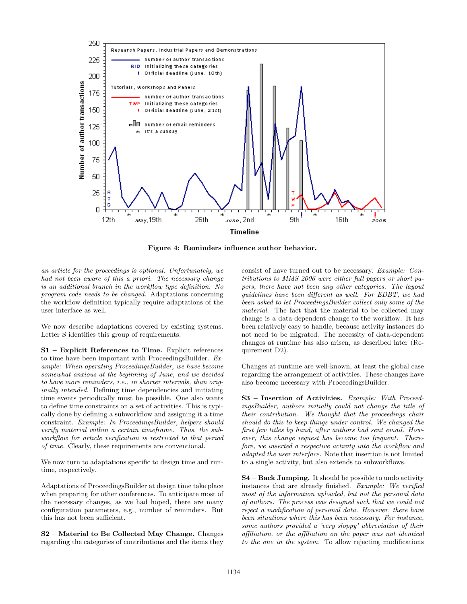

**Figure 4: Reminders influence author behavior.**

an article for the proceedings is optional. Unfortunately, we had not been aware of this a priori. The necessary change is an additional branch in the workflow type definition. No program code needs to be changed. Adaptations concerning the workflow definition typically require adaptations of the user interface as well.

We now describe adaptations covered by existing systems. Letter S identifies this group of requirements.

**S1 – Explicit References to Time.** Explicit references to time have been important with ProceedingsBuilder. Example: When operating ProceedingsBuilder, we have become somewhat anxious at the beginning of June, and we decided to have more reminders, i.e., in shorter intervals, than originally intended. Defining time dependencies and initiating time events periodically must be possible. One also wants to define time constraints on a set of activities. This is typically done by defining a subworkflow and assigning it a time constraint. Example: In ProceedingsBuilder, helpers should verify material within a certain timeframe. Thus, the subworkflow for article verification is restricted to that period of time. Clearly, these requirements are conventional.

We now turn to adaptations specific to design time and runtime, respectively.

Adaptations of ProceedingsBuilder at design time take place when preparing for other conferences. To anticipate most of the necessary changes, as we had hoped, there are many configuration parameters, e.g., number of reminders. But this has not been sufficient.

**S2 – Material to Be Collected May Change.** Changes regarding the categories of contributions and the items they consist of have turned out to be necessary. Example: Contributions to MMS 2006 were either full papers or short papers, there have not been any other categories. The layout guidelines have been different as well. For EDBT, we had been asked to let ProceedingsBuilder collect only some of the material. The fact that the material to be collected may change is a data-dependent change to the workflow. It has been relatively easy to handle, because activity instances do not need to be migrated. The necessity of data-dependent changes at runtime has also arisen, as described later (Requirement D2).

Changes at runtime are well-known, at least the global case regarding the arrangement of activities. These changes have also become necessary with ProceedingsBuilder.

**S3 – Insertion of Activities.** Example: With ProceedingsBuilder, authors initially could not change the title of their contribution. We thought that the proceedings chair should do this to keep things under control. We changed the first few titles by hand, after authors had sent email. However, this change request has become too frequent. Therefore, we inserted a respective activity into the workflow and adapted the user interface. Note that insertion is not limited to a single activity, but also extends to subworkflows.

**S4 – Back Jumping.** It should be possible to undo activity instances that are already finished. Example: We verified most of the information uploaded, but not the personal data of authors. The process was designed such that we could not reject a modification of personal data. However, there have been situations where this has been necessary. For instance, some authors provided a 'very sloppy' abbreviation of their affiliation, or the affiliation on the paper was not identical to the one in the system. To allow rejecting modifications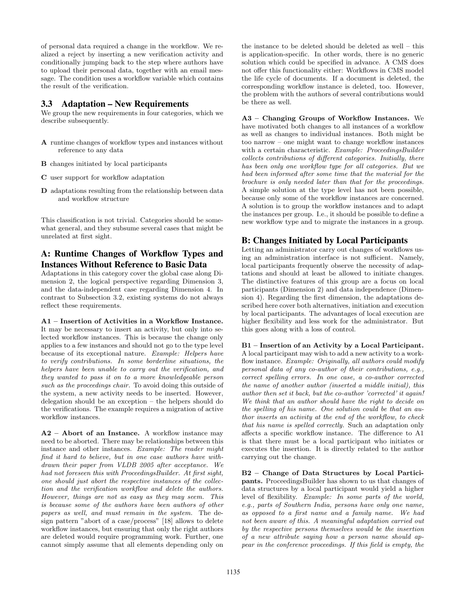of personal data required a change in the workflow. We realized a reject by inserting a new verification activity and conditionally jumping back to the step where authors have to upload their personal data, together with an email message. The condition uses a workflow variable which contains the result of the verification.

#### 3.3 Adaptation – New Requirements

We group the new requirements in four categories, which we describe subsequently.

- **A** runtime changes of workflow types and instances without reference to any data
- **B** changes initiated by local participants
- **C** user support for workflow adaptation
- **D** adaptations resulting from the relationship between data and workflow structure

This classification is not trivial. Categories should be somewhat general, and they subsume several cases that might be unrelated at first sight.

# A: Runtime Changes of Workflow Types and Instances Without Reference to Basic Data

Adaptations in this category cover the global case along Dimension 2, the logical perspective regarding Dimension 3, and the data-independent case regarding Dimension 4. In contrast to Subsection 3.2, existing systems do not always reflect these requirements.

**A1 – Insertion of Activities in a Workflow Instance.** It may be necessary to insert an activity, but only into selected workflow instances. This is because the change only applies to a few instances and should not go to the type level because of its exceptional nature. Example: Helpers have to verify contributions. In some borderline situations, the helpers have been unable to carry out the verification, and they wanted to pass it on to a more knowledgeable person such as the proceedings chair. To avoid doing this outside of the system, a new activity needs to be inserted. However, delegation should be an exception – the helpers should do the verifications. The example requires a migration of active workflow instances.

**A2 – Abort of an Instance.** A workflow instance may need to be aborted. There may be relationships between this instance and other instances. Example: The reader might find it hard to believe, but in one case authors have withdrawn their paper from VLDB 2005 after acceptance. We had not foreseen this with ProceedingsBuilder. At first sight, one should just abort the respective instances of the collection and the verification workflow and delete the authors. However, things are not as easy as they may seem. This is because some of the authors have been authors of other papers as well, and must remain in the system. The design pattern "abort of a case/process" [18] allows to delete workflow instances, but ensuring that only the right authors are deleted would require programming work. Further, one cannot simply assume that all elements depending only on

the instance to be deleted should be deleted as well – this is application-specific. In other words, there is no generic solution which could be specified in advance. A CMS does not offer this functionality either: Workflows in CMS model the life cycle of documents. If a document is deleted, the corresponding workflow instance is deleted, too. However, the problem with the authors of several contributions would be there as well.

**A3 – Changing Groups of Workflow Instances.** We have motivated both changes to all instances of a workflow as well as changes to individual instances. Both might be too narrow – one might want to change workflow instances with a certain characteristic. Example: ProceedingsBuilder collects contributions of different categories. Initially, there has been only one workflow type for all categories. But we had been informed after some time that the material for the brochure is only needed later than that for the proceedings. A simple solution at the type level has not been possible, because only some of the workflow instances are concerned. A solution is to group the workflow instances and to adapt the instances per group. I.e., it should be possible to define a new workflow type and to migrate the instances in a group.

# B: Changes Initiated by Local Participants

Letting an administrator carry out changes of workflows using an administration interface is not sufficient. Namely, local participants frequently observe the necessity of adaptations and should at least be allowed to initiate changes. The distinctive features of this group are a focus on local participants (Dimension 2) and data independence (Dimension 4). Regarding the first dimension, the adaptations described here cover both alternatives, initiation and execution by local participants. The advantages of local execution are higher flexibility and less work for the administrator. But this goes along with a loss of control.

**B1 – Insertion of an Activity by a Local Participant.**

A local participant may wish to add a new activity to a workflow instance. Example: Originally, all authors could modify personal data of any co-author of their contributions, e.g., correct spelling errors. In one case, a co-author corrected the name of another author (inserted a middle initial), this author then set it back, but the co-author 'corrected' it again! We think that an author should have the right to decide on the spelling of his name. One solution could be that an author inserts an activity at the end of the workflow, to check that his name is spelled correctly. Such an adaptation only affects a specific workflow instance. The difference to A1 is that there must be a local participant who initiates or executes the insertion. It is directly related to the author carrying out the change.

**B2 – Change of Data Structures by Local Participants.** ProceedingsBuilder has shown to us that changes of data structures by a local participant would yield a higher level of flexibility. Example: In some parts of the world, e.g., parts of Southern India, persons have only one name, as opposed to a first name and a family name. We had not been aware of this. A meaningful adaptation carried out by the respective persons themselves would be the insertion of a new attribute saying how a person name should appear in the conference proceedings. If this field is empty, the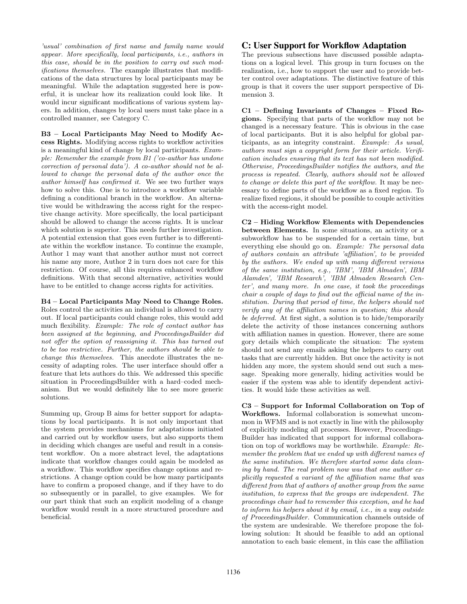'usual' combination of first name and family name would appear. More specifically, local participants, i.e., authors in this case, should be in the position to carry out such modifications themselves. The example illustrates that modifications of the data structures by local participants may be meaningful. While the adaptation suggested here is powerful, it is unclear how its realization could look like. It would incur significant modifications of various system layers. In addition, changes by local users must take place in a controlled manner, see Category C.

**B3 – Local Participants May Need to Modify Access Rights.** Modifying access rights to workflow activities is a meaningful kind of change by local participants. Example: Remember the example from B1 ('co-author has undone correction of personal data'). A co-author should not be allowed to change the personal data of the author once the author himself has confirmed it. We see two further ways how to solve this. One is to introduce a workflow variable defining a conditional branch in the workflow. An alternative would be withdrawing the access right for the respective change activity. More specifically, the local participant should be allowed to change the access rights. It is unclear which solution is superior. This needs further investigation. A potential extension that goes even further is to differentiate within the workflow instance. To continue the example, Author 1 may want that another author must not correct his name any more, Author 2 in turn does not care for this restriction. Of course, all this requires enhanced workflow definitions. With that second alternative, activities would have to be entitled to change access rights for activities.

**B4 – Local Participants May Need to Change Roles.** Roles control the activities an individual is allowed to carry out. If local participants could change roles, this would add much flexibility. Example: The role of contact author has been assigned at the beginning, and ProceedingsBuilder did not offer the option of reassigning it. This has turned out to be too restrictive. Further, the authors should be able to change this themselves. This anecdote illustrates the necessity of adapting roles. The user interface should offer a feature that lets authors do this. We addressed this specific situation in ProceedingsBuilder with a hard–coded mechanism. But we would definitely like to see more generic solutions.

Summing up, Group B aims for better support for adaptations by local participants. It is not only important that the system provides mechanisms for adaptations initiated and carried out by workflow users, but also supports them in deciding which changes are useful and result in a consistent workflow. On a more abstract level, the adaptations indicate that workflow changes could again be modeled as a workflow. This workflow specifies change options and restrictions. A change option could be how many participants have to confirm a proposed change, and if they have to do so subsequently or in parallel, to give examples. We for our part think that such an explicit modeling of a change workflow would result in a more structured procedure and beneficial.

#### C: User Support for Workflow Adaptation

The previous subsections have discussed possible adaptations on a logical level. This group in turn focuses on the realization, i.e., how to support the user and to provide better control over adaptations. The distinctive feature of this group is that it covers the user support perspective of Dimension 3.

**C1 – Defining Invariants of Changes – Fixed Regions.** Specifying that parts of the workflow may not be changed is a necessary feature. This is obvious in the case of local participants. But it is also helpful for global participants, as an integrity constraint. Example: As usual, authors must sign a copyright form for their article. Verification includes ensuring that its text has not been modified. Otherwise, ProceedingsBuilder notifies the authors, and the process is repeated. Clearly, authors should not be allowed to change or delete this part of the workflow. It may be necessary to define parts of the workflow as a fixed region. To realize fixed regions, it should be possible to couple activities with the access-right model.

**C2 – Hiding Workflow Elements with Dependencies between Elements.** In some situations, an activity or a subworkflow has to be suspended for a certain time, but everything else should go on. Example: The personal data of authors contain an attribute 'affiliation', to be provided by the authors. We ended up with many different versions of the same institution, e.g., 'IBM', 'IBM Almaden', IBM Alamden', 'IBM Research', 'IBM Almaden Research Center', and many more. In one case, it took the proceedings chair a couple of days to find out the official name of the institution. During that period of time, the helpers should not verify any of the affiliation names in question; this should be deferred. At first sight, a solution is to hide/temporarily delete the activity of those instances concerning authors with affiliation names in question. However, there are some gory details which complicate the situation: The system should not send any emails asking the helpers to carry out tasks that are currently hidden. But once the activity is not hidden any more, the system should send out such a message. Speaking more generally, hiding activities would be easier if the system was able to identify dependent activities. It would hide these activities as well.

**C3 – Support for Informal Collaboration on Top of Workflows.** Informal collaboration is somewhat uncommon in WFMS and is not exactly in line with the philosophy of explicitly modeling all processes. However, Proceedings-Builder has indicated that support for informal collaboration on top of workflows may be worthwhile. Example: Remember the problem that we ended up with different names of the same institution. We therefore started some data cleaning by hand. The real problem now was that one author explicitly requested a variant of the affiliation name that was different from that of authors of another group from the same institution, to express that the groups are independent. The proceedings chair had to remember this exception, and he had to inform his helpers about it by email, i.e., in a way outside of ProceedingsBuilder. Communication channels outside of the system are undesirable. We therefore propose the following solution: It should be feasible to add an optional annotation to each basic element, in this case the affiliation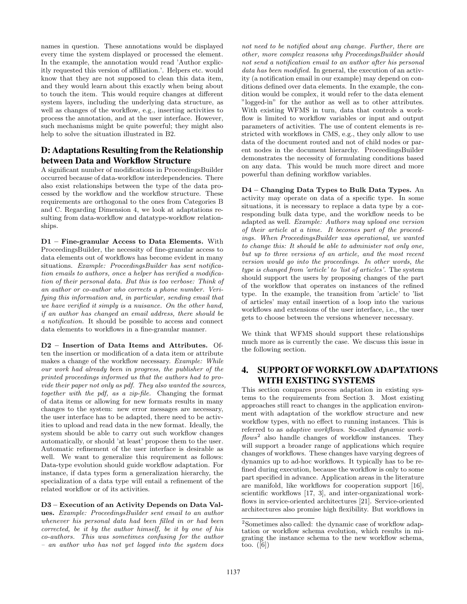names in question. These annotations would be displayed every time the system displayed or processed the element. In the example, the annotation would read 'Author explicitly requested this version of affiliation.'. Helpers etc. would know that they are not supposed to clean this data item, and they would learn about this exactly when being about to touch the item. This would require changes at different system layers, including the underlying data structure, as well as changes of the workflow, e.g., inserting activities to process the annotation, and at the user interface. However, such mechanisms might be quite powerful; they might also help to solve the situation illustrated in B2.

# D: Adaptations Resulting from the Relationship between Data and Workflow Structure

A significant number of modifications in ProceedingsBuilder occurred because of data-workflow interdependencies. There also exist relationships between the type of the data processed by the workflow and the workflow structure. These requirements are orthogonal to the ones from Categories B and C. Regarding Dimension 4, we look at adaptations resulting from data-workflow and datatype-workflow relationships.

**D1 – Fine-granular Access to Data Elements.** With ProceedingsBuilder, the necessity of fine-granular access to data elements out of workflows has become evident in many situations. Example: ProceedingsBuilder has sent notification emails to authors, once a helper has verified a modification of their personal data. But this is too verbose: Think of an author or co-author who corrects a phone number. Verifying this information and, in particular, sending email that we have verified it simply is a nuisance. On the other hand, if an author has changed an email address, there should be a notification. It should be possible to access and connect data elements to workflows in a fine-granular manner.

**D2 – Insertion of Data Items and Attributes.** Often the insertion or modification of a data item or attribute makes a change of the workflow necessary. Example: While our work had already been in progress, the publisher of the printed proceedings informed us that the authors had to provide their paper not only as pdf. They also wanted the sources, together with the pdf, as a zip-file. Changing the format of data items or allowing for new formats results in many changes to the system: new error messages are necessary, the user interface has to be adapted, there need to be activities to upload and read data in the new format. Ideally, the system should be able to carry out such workflow changes automatically, or should 'at least' propose them to the user. Automatic refinement of the user interface is desirable as well. We want to generalize this requirement as follows: Data-type evolution should guide workflow adaptation. For instance, if data types form a generalization hierarchy, the specialization of a data type will entail a refinement of the related workflow or of its activities.

**D3 – Execution of an Activity Depends on Data Values.** Example: ProceedingsBuilder sent email to an author whenever his personal data had been filled in or had been corrected, be it by the author himself, be it by one of his co-authors. This was sometimes confusing for the author – an author who has not yet logged into the system does

not need to be notified about any change. Further, there are other, more complex reasons why ProceedingsBuilder should not send a notification email to an author after his personal data has been modified. In general, the execution of an activity (a notification email in our example) may depend on conditions defined over data elements. In the example, the condition would be complex, it would refer to the data element "logged-in" for the author as well as to other attributes. With existing WFMS in turn, data that controls a workflow is limited to workflow variables or input and output parameters of activities. The use of content elements is restricted with workflows in CMS, e.g., they only allow to use data of the document routed and not of child nodes or parent nodes in the document hierarchy. ProceedingsBuilder demonstrates the necessity of formulating conditions based on any data. This would be much more direct and more powerful than defining workflow variables.

**D4 – Changing Data Types to Bulk Data Types.** An activity may operate on data of a specific type. In some situations, it is necessary to replace a data type by a corresponding bulk data type, and the workflow needs to be adapted as well. Example: Authors may upload one version of their article at a time. It becomes part of the proceedings. When ProceedingsBuilder was operational, we wanted to change this: It should be able to administer not only one, but up to three versions of an article, and the most recent version would go into the proceedings. In other words, the type is changed from 'article' to 'list of articles'. The system should support the users by proposing changes of the part of the workflow that operates on instances of the refined type. In the example, the transition from 'article' to 'list of articles' may entail insertion of a loop into the various workflows and extensions of the user interface, i.e., the user gets to choose between the versions whenever necessary.

We think that WFMS should support these relationships much more as is currently the case. We discuss this issue in the following section.

# 4. SUPPORT OFWORKFLOW ADAPTATIONS WITH EXISTING SYSTEMS

This section compares process adaptation in existing systems to the requirements from Section 3. Most existing approaches still react to changes in the application environment with adaptation of the workflow structure and new workflow types, with no effect to running instances. This is referred to as adaptive workflows. So-called dynamic work $flows<sup>2</sup>$  also handle changes of workflow instances. They will support a broader range of applications which require changes of workflows. These changes have varying degrees of dynamics up to ad-hoc workflows. It typically has to be refined during execution, because the workflow is only to some part specified in advance. Application areas in the literature are manifold, like workflows for cooperation support [16], scientific workflows [17, 3], and inter-organizational workflows in service-oriented architectures [21]. Service-oriented architectures also promise high flexibility. But workflows in

 $^2\mbox{Sometimes also called: the dynamic case of workflow adap-}$ tation or workflow schema evolution, which results in migrating the instance schema to the new workflow schema, too.  $([6])$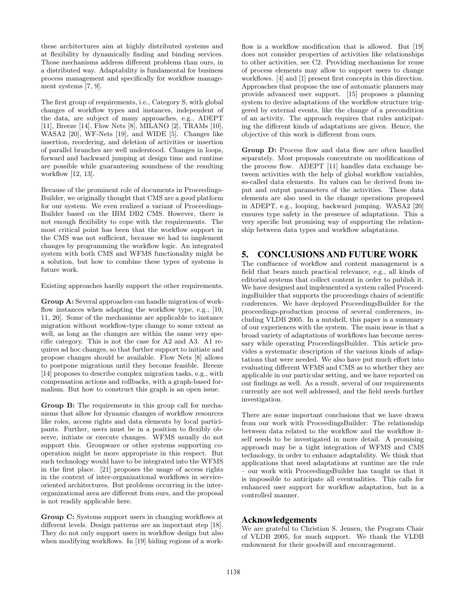these architectures aim at highly distributed systems and at flexibility by dynamically finding and binding services. Those mechanisms address different problems than ours, in a distributed way. Adaptability is fundamental for business process management and specifically for workflow management systems [7, 9].

The first group of requirements, i.e., Category S, with global changes of workflow types and instances, independent of the data, are subject of many approaches, e.g., ADEPT [11], Breeze [14], Flow Nets [8], MILANO [2], TRAMs [10], WASA2 [20], WF-Nets [19], and WIDE [5]. Changes like insertion, reordering, and deletion of activities or insertion of parallel branches are well understood. Changes in loops, forward and backward jumping at design time and runtime are possible while guaranteeing soundness of the resulting workflow [12, 13].

Because of the prominent role of documents in Proceedings-Builder, we originally thought that CMS are a good platform for our system. We even realized a variant of Proceedings-Builder based on the IBM DB2 CMS. However, there is not enough flexibility to cope with the requirements. The most critical point has been that the workflow support in the CMS was not sufficient, because we had to implement changes by programming the workflow logic. An integrated system with both CMS and WFMS functionality might be a solution, but how to combine these types of systems is future work.

Existing approaches hardly support the other requirements.

**Group A:** Several approaches can handle migration of workflow instances when adapting the workflow type, e.g., [10, 11, 20]. Some of the mechanisms are applicable to instance migration without workflow-type change to some extent as well, as long as the changes are within the same very specific category. This is not the case for A2 and A3. A1 requires ad hoc changes, so that further support to initiate and propose changes should be available. Flow Nets [8] allows to postpone migrations until they become feasible. Breeze [14] proposes to describe complex migration tasks, e.g., with compensation actions and rollbacks, with a graph-based formalism. But how to construct this graph is an open issue.

**Group B:** The requirements in this group call for mechanisms that allow for dynamic changes of workflow resources like roles, access rights and data elements by local participants. Further, users must be in a position to flexibly observe, initiate or execute changes. WFMS usually do not support this. Groupware or other systems supporting cooperation might be more appropriate in this respect. But such technology would have to be integrated into the WFMS in the first place. [21] proposes the usage of access rights in the context of inter-organizational workflows in serviceoriented architectures. But problems occurring in the interorganizational area are different from ours, and the proposal is not readily applicable here.

**Group C:** Systems support users in changing workflows at different levels. Design patterns are an important step [18]. They do not only support users in workflow design but also when modifying workflows. In [19] hiding regions of a workflow is a workflow modification that is allowed. But [19] does not consider properties of activities like relationships to other activities, see C2. Providing mechanisms for reuse of process elements may allow to support users to change workflows. [4] and [1] present first concepts in this direction. Approaches that propose the use of automatic planners may provide advanced user support. [15] proposes a planning system to derive adaptations of the workflow structure triggered by external events, like the change of a precondition of an activity. The approach requires that rules anticipating the different kinds of adaptations are given. Hence, the objective of this work is different from ours.

**Group D:** Process flow and data flow are often handled separately. Most proposals concentrate on modifications of the process flow. ADEPT [11] handles data exchange between activities with the help of global workflow variables, so-called data elements. Its values can be derived from input and output parameters of the activities. These data elements are also used in the change operations proposed in ADEPT, e.g., looping, backward jumping. WASA2 [20] ensures type safety in the presence of adaptations. This a very specific but promising way of supporting the relationship between data types and workflow adaptations.

#### 5. CONCLUSIONS AND FUTURE WORK

The confluence of workflow and content management is a field that bears much practical relevance, e.g., all kinds of editorial systems that collect content in order to publish it. We have designed and implemented a system called ProceedingsBuilder that supports the proceedings chairs of scientific conferences. We have deployed ProceedingsBuilder for the proceedings-production process of several conferences, including VLDB 2005. In a nutshell, this paper is a summary of our experiences with the system. The main issue is that a broad variety of adaptations of workflows has become necessary while operating ProceedingsBuilder. This article provides a systematic description of the various kinds of adaptations that were needed. We also have put much effort into evaluating different WFMS and CMS as to whether they are applicable in our particular setting, and we have reported on our findings as well. As a result, several of our requirements currently are not well addressed, and the field needs further investigation.

There are some important conclusions that we have drawn from our work with ProceedingsBuilder: The relationship between data related to the workflow and the workflow itself needs to be investigated in more detail. A promising approach may be a tight integration of WFMS and CMS technology, in order to enhance adaptability. We think that applications that need adaptations at runtime are the rule – our work with ProceedingsBuilder has taught us that it is impossible to anticipate all eventualities. This calls for enhanced user support for workflow adaptation, but in a controlled manner.

#### Acknowledgements

We are grateful to Christian S. Jensen, the Program Chair of VLDB 2005, for much support. We thank the VLDB endowment for their goodwill and encouragement.